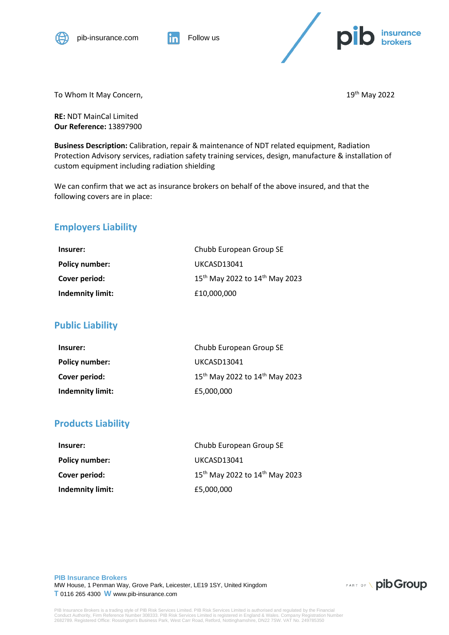



To Whom It May Concern, The Contract of the Contract of the May 2022 19th May 2022

**RE:** NDT MainCal Limited **Our Reference:** 13897900

**Business Description:** Calibration, repair & maintenance of NDT related equipment, Radiation Protection Advisory services, radiation safety training services, design, manufacture & installation of custom equipment including radiation shielding

We can confirm that we act as insurance brokers on behalf of the above insured, and that the following covers are in place:

## **Employers Liability**

| Insurer:                | Chubb European Group SE                                |  |
|-------------------------|--------------------------------------------------------|--|
| Policy number:          | UKCASD13041                                            |  |
| Cover period:           | 15 <sup>th</sup> May 2022 to 14 <sup>th</sup> May 2023 |  |
| <b>Indemnity limit:</b> | £10,000,000                                            |  |

## **Public Liability**

| Insurer:                | Chubb European Group SE                                |
|-------------------------|--------------------------------------------------------|
| Policy number:          | UKCASD13041                                            |
| Cover period:           | 15 <sup>th</sup> May 2022 to 14 <sup>th</sup> May 2023 |
| <b>Indemnity limit:</b> | £5,000,000                                             |

## **Products Liability**

| Insurer:                | Chubb European Group SE                                |
|-------------------------|--------------------------------------------------------|
| Policy number:          | UKCASD13041                                            |
| Cover period:           | 15 <sup>th</sup> May 2022 to 14 <sup>th</sup> May 2023 |
| <b>Indemnity limit:</b> | £5,000,000                                             |

**PIB Insurance Brokers** MW House, 1 Penman Way, Grove Park, Leicester, LE19 1SY, United Kingdom **T** 0116 265 4300 **W** www.pib-insurance.com



PIB Insurance Brokers is a trading style of PIB Risk Services Limited. PIB Risk Services Limited is authorised and regulated by the Financial<br>Conduct Authority, Firm Reference Number 308333. PIB Risk Services Limited is re